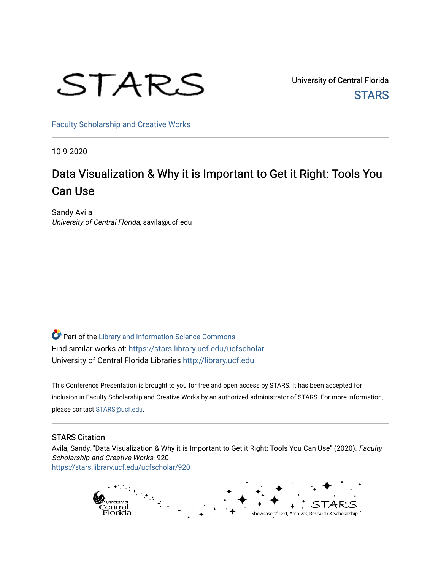

University of Central Florida **STARS** 

[Faculty Scholarship and Creative Works](https://stars.library.ucf.edu/ucfscholar) 

10-9-2020

#### Data Visualization & Why it is Important to Get it Right: Tools You Can Use

Sandy Avila University of Central Florida, savila@ucf.edu

Part of the [Library and Information Science Commons](http://network.bepress.com/hgg/discipline/1018?utm_source=stars.library.ucf.edu%2Fucfscholar%2F920&utm_medium=PDF&utm_campaign=PDFCoverPages)  Find similar works at: <https://stars.library.ucf.edu/ucfscholar> University of Central Florida Libraries [http://library.ucf.edu](http://library.ucf.edu/) 

This Conference Presentation is brought to you for free and open access by STARS. It has been accepted for inclusion in Faculty Scholarship and Creative Works by an authorized administrator of STARS. For more information, please contact [STARS@ucf.edu](mailto:STARS@ucf.edu).

#### STARS Citation

Avila, Sandy, "Data Visualization & Why it is Important to Get it Right: Tools You Can Use" (2020). Faculty Scholarship and Creative Works. 920. [https://stars.library.ucf.edu/ucfscholar/920](https://stars.library.ucf.edu/ucfscholar/920?utm_source=stars.library.ucf.edu%2Fucfscholar%2F920&utm_medium=PDF&utm_campaign=PDFCoverPages)